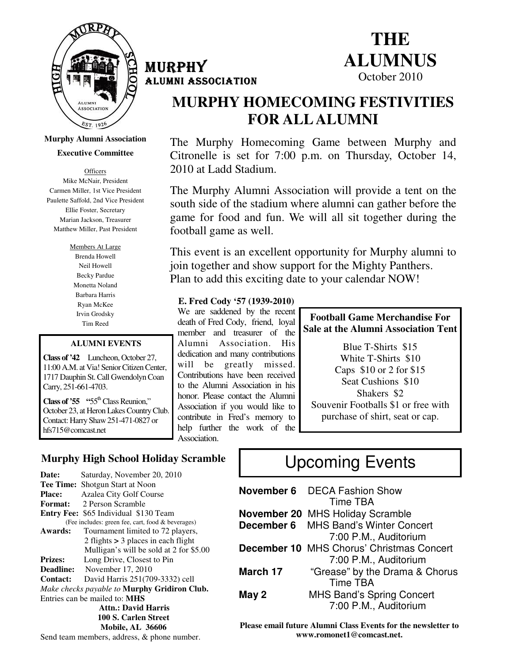

**Murphy Alumni Association** 

**Executive Committee** 

**Officers** Mike McNair, President Carmen Miller, 1st Vice President Paulette Saffold, 2nd Vice President Ellie Foster, Secretary Marian Jackson, Treasurer Matthew Miller, Past President

> Members At Large Brenda Howell Neil Howell Becky Pardue Monetta Noland Barbara Harris Ryan McKee Irvin Grodsky Tim Reed

#### **ALUMNI EVENTS**

**Class of '42** Luncheon, October 27, 11:00 A.M. at Via! Senior Citizen Center, 1717 Dauphin St. Call Gwendolyn Coan Carry, 251-661-4703.

**Class of '55** "55<sup>th</sup> Class Reunion," October 23, at Heron Lakes Country Club. Contact: Harry Shaw 251-471-0827 or hfs715@comcast.net

### MURPHY ALUMNI ASSOCIATION ASSOCIATION



## **MURPHY HOMECOMING FESTIVITIES FOR ALL ALUMNI**

The Murphy Homecoming Game between Murphy and Citronelle is set for 7:00 p.m. on Thursday, October 14, 2010 at Ladd Stadium.

The Murphy Alumni Association will provide a tent on the south side of the stadium where alumni can gather before the game for food and fun. We will all sit together during the football game as well.

This event is an excellent opportunity for Murphy alumni to join together and show support for the Mighty Panthers. Plan to add this exciting date to your calendar NOW!

#### **E. Fred Cody '57 (1939-2010)**

We are saddened by the recent death of Fred Cody, friend, loyal member and treasurer of the Alumni Association. His dedication and many contributions will be greatly missed. Contributions have been received to the Alumni Association in his honor. Please contact the Alumni Association if you would like to contribute in Fred's memory to help further the work of the Association.

#### **Football Game Merchandise For Sale at the Alumni Association Tent**

Blue T-Shirts \$15 White T-Shirts \$10 Caps \$10 or 2 for \$15 Seat Cushions \$10 Shakers \$2 Souvenir Footballs \$1 or free with purchase of shirt, seat or cap.

### **Murphy High School Holiday Scramble**

Date: Saturday, November 20, 2010 **Tee Time:** Shotgun Start at Noon **Place:** Azalea City Golf Course **Format:** 2 Person Scramble **Entry Fee:** \$65 Individual \$130 Team (Fee includes: green fee, cart, food & beverages) **Awards:** Tournament limited to 72 players, 2 flights **>** 3 places in each flight Mulligan's will be sold at 2 for \$5.00 **Prizes:** Long Drive, Closest to Pin<br> **Deadline:** November 17, 2010 **Deadline:** November 17, 2010 **Contact:** David Harris 251(709-3332) cell *Make checks payable to* **Murphy Gridiron Club.** Entries can be mailed to: **MHS Attn.: David Harris 100 S. Carlen Street Mobile, AL 36606**  Send team members, address, & phone number.

# Upcoming Events

|          | <b>November 6</b> DECA Fashion Show              |
|----------|--------------------------------------------------|
|          | Time TBA                                         |
|          | <b>November 20 MHS Holiday Scramble</b>          |
|          | <b>December 6</b> MHS Band's Winter Concert      |
|          | 7:00 P.M., Auditorium                            |
|          | <b>December 10 MHS Chorus' Christmas Concert</b> |
|          | 7:00 P.M., Auditorium                            |
| March 17 | "Grease" by the Drama & Chorus                   |
|          | <b>Time TBA</b>                                  |
| May 2    | <b>MHS Band's Spring Concert</b>                 |
|          | 7:00 P.M., Auditorium                            |

**Please email future Alumni Class Events for the newsletter to www.romonet1@comcast.net.**